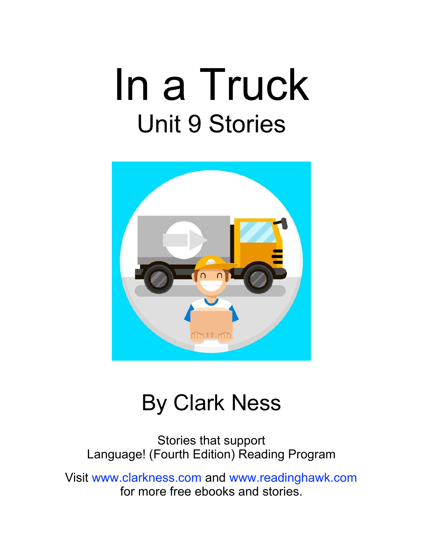## In a Truck Unit 9 Stories



#### By Clark Ness

Stories that support Language! (Fourth Edition) Reading Program

Visit [www.clarkness.com](http://www.clarkness.com) and [www.readinghawk.com](http://www.readinghawk.com) for more free ebooks and stories.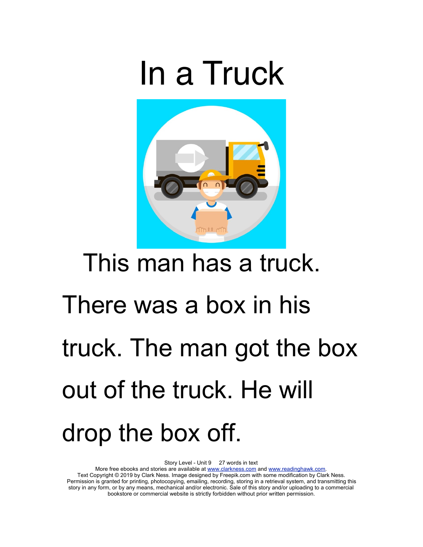## In a Truck



#### This man has a truck.

# There was a box in his truck. The man got the box out of the truck. He will drop the box off.

Story Level - Unit 9 27 words in text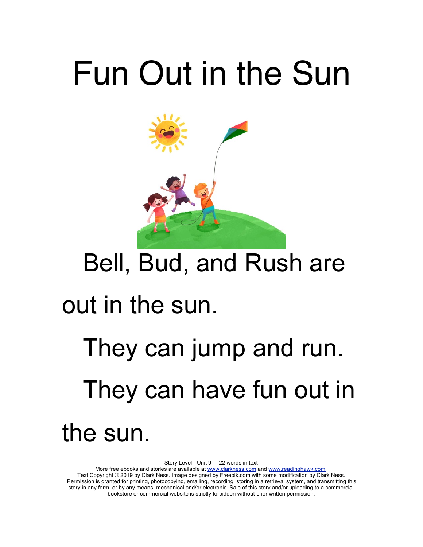# Fun Out in the Sun



#### Bell, Bud, and Rush are

#### out in the sun.

## They can jump and run. They can have fun out in the sun.

Story Level - Unit 9 22 words in text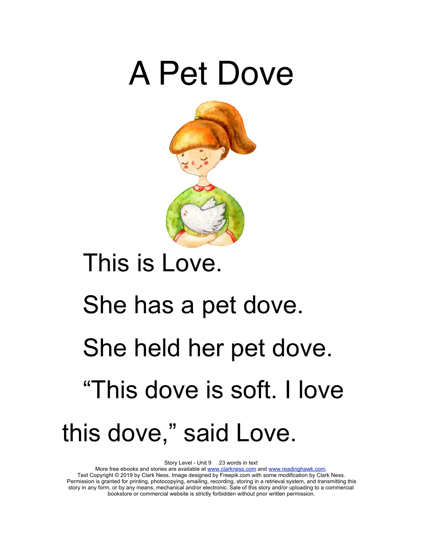#### A Pet Dove



#### This is Love.

# She has a pet dove. She held her pet dove. "This dove is soft. I love this dove," said Love.

Story Level - Unit 9 23 words in text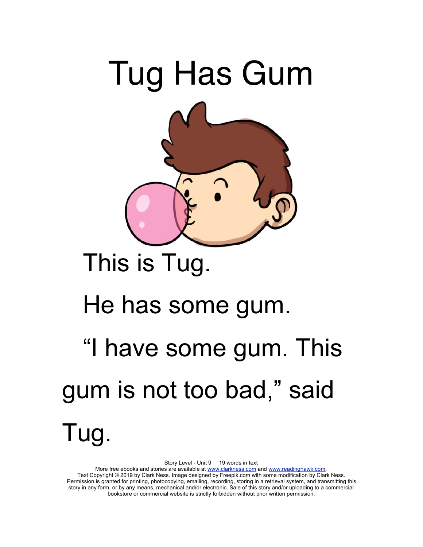

#### This is Tug.

#### He has some gum.

## "I have some gum. This gum is not too bad," said Tug.

Story Level - Unit 9 19 words in text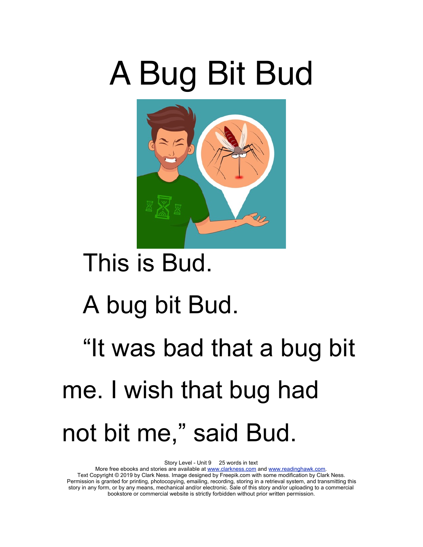# A Bug Bit Bud



#### This is Bud.

#### A bug bit Bud.

## "It was bad that a bug bit me. I wish that bug had not bit me," said Bud.

Story Level - Unit 9 25 words in text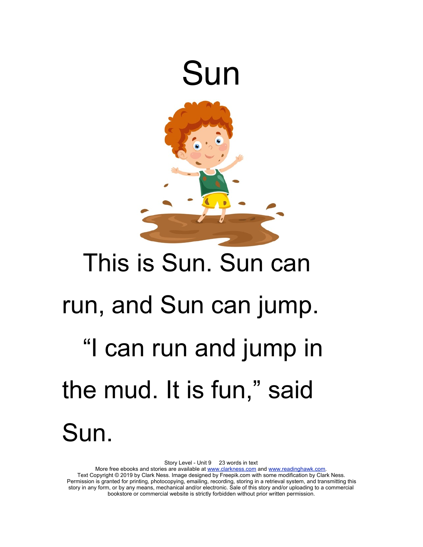

# This is Sun. Sun can run, and Sun can jump. "I can run and jump in the mud. It is fun," said Sun.

Story Level - Unit 9 23 words in text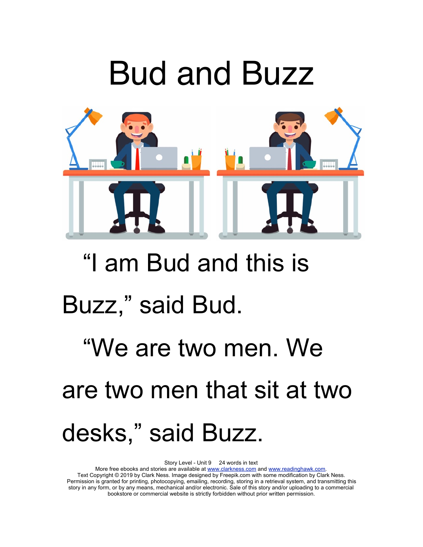## Bud and Buzz



#### "I am Bud and this is

#### Buzz," said Bud.

## "We are two men. We are two men that sit at two desks," said Buzz.

Story Level - Unit 9 24 words in text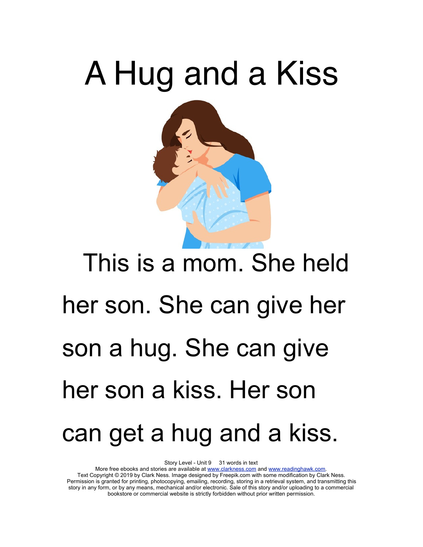# A Hug and a Kiss This is a mom. She held her son. She can give her son a hug. She can give her son a kiss. Her son

#### can get a hug and a kiss.

Story Level - Unit 9 31 words in text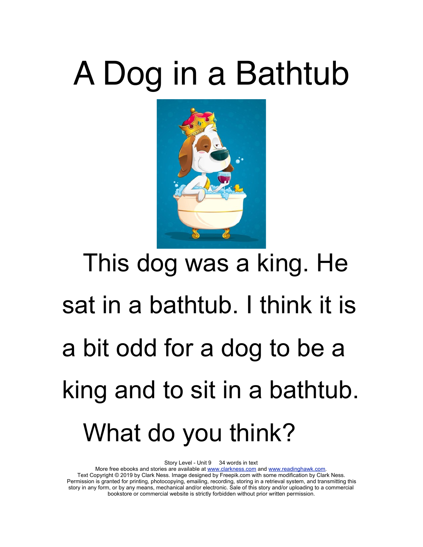# A Dog in a Bathtub



# This dog was a king. He sat in a bathtub. I think it is a bit odd for a dog to be a king and to sit in a bathtub. What do you think?

Story Level - Unit 9 34 words in text